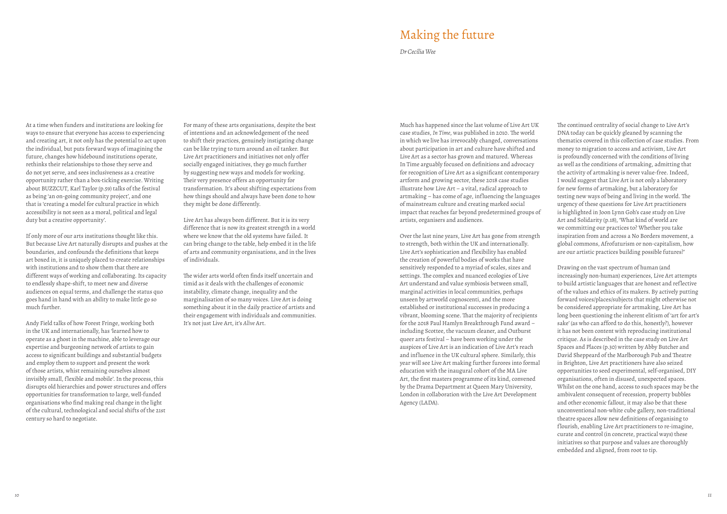# Making the future

*Dr Cecilia Wee*

Much has happened since the last volume of Live Art UK case studies, *In Time*, was published in 2010. The world in which we live has irrevocably changed, conversations about participation in art and culture have shifted and Live Art as a sector has grown and matured. Whereas In Time arguably focused on defnitions and advocacy for recognition of Live Art as a signifcant contemporary artform and growing sector, these 2018 case studies illustrate how Live Art – a vital, radical approach to artmaking – has come of age, inf luencing the languages of mainstream culture and creating marked social impact that reaches far beyond predetermined groups of artists, organisers and audiences.

Over the last nine years, Live Art has gone from strength to strength, both within the UK and internationally. Live Art's sophistication and flexibility has enabled the creation of powerful bodies of works that have sensitively responded to a myriad of scales, sizes and settings. The complex and nuanced ecologies of Live Art understand and value symbiosis between small, marginal activities in local communities, perhaps unseen by artworld cognoscenti, and the more established or institutional successes in producing a vibrant, blooming scene. That the majority of recipients for the 2018 Paul Hamlyn Breakthrough Fund award – including Scottee, the vacuum cleaner, and Outburst queer arts festival – have been working under the auspices of Live Art is an indication of Live Art's reach and influence in the UK cultural sphere. Similarly, this year will see Live Art making further furores into formal education with the inaugural cohort of the MA Live Art, the frst masters programme of its kind, convened by the Drama Department at Queen Mary University, London in collaboration with the Live Art Development Agency (LADA).

The continued centrality of social change to Live Art's DNA today can be quickly gleaned by scanning the thematics covered in this collection of case studies. From money to migration to access and activism, Live Art is profoundly concerned with the conditions of living as well as the conditions of artmaking, admitting that the activity of artmaking is never value-free. Indeed, I would suggest that Live Art is not only a laboratory for new forms of artmaking, but a laboratory for testing new ways of being and living in the world. The urgency of these questions for Live Art practitioners is highlighted in Joon Lynn Goh's case study on Live Art and Solidarity (p.18), 'What kind of world are we committing our practices to? Whether you take inspiration from and across a No Borders movement, a global commons, Afrofuturism or non-capitalism, how are our artistic practices building possible futures?'

Drawing on the vast spectrum of human (and increasingly non-human) experiences, Live Art attempts to build artistic languages that are honest and ref lective of the values and ethics of its makers. By actively putting forward voices/places/subjects that might otherwise not be considered appropriate for artmaking, Live Art has long been questioning the inherent elitism of 'art for art's sake' (as who can afford to do this, honestly?), however it has not been content with reproducing institutional critique. As is described in the case study on Live Art Spaces and Places (p.30) written by Abby Butcher and David Sheppeard of the Marlborough Pub and Theatre in Brighton, Live Art practitioners have also seized opportunities to seed experimental, self-organised, DIY organisations, often in disused, unexpected spaces. Whilst on the one hand, access to such spaces may be the ambivalent consequent of recession, property bubbles and other economic fallout, it may also be that these unconventional non-white cube gallery, non-traditional theatre spaces allow new defnitions of organising to flourish, enabling Live Art practitioners to re-imagine, curate and control (in concrete, practical ways) these initiatives so that purpose and values are thoroughly embedded and aligned, from root to tip.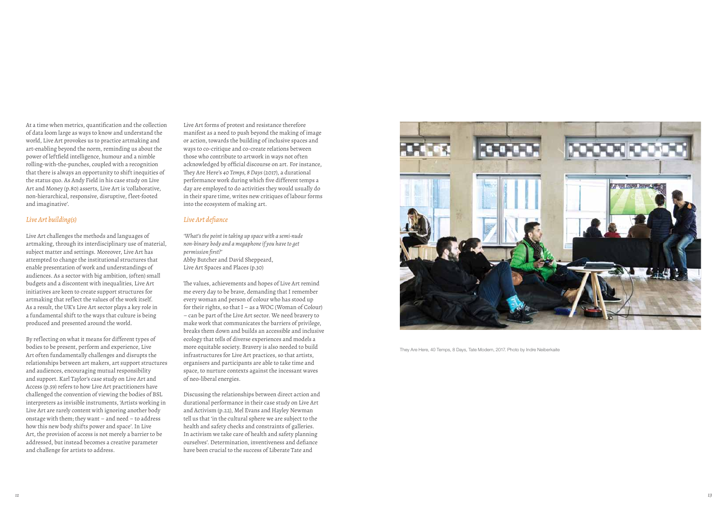They Are Here, 40 Temps, 8 Days, Tate Modern, 2017. Photo by Indre Neiberkaite

At a time when metrics, quantifcation and the collection of data loom large as ways to know and understand the world, Live Art provokes us to practice artmaking and art-enabling beyond the norm, reminding us about the power of leftfeld intelligence, humour and a nimble rolling-with-the-punches, coupled with a recognition that there is always an opportunity to shift inequities of the status quo. As Andy Field in his case study on Live Art and Money (p.80) asserts, Live Art is 'collaborative, non-hierarchical, responsive, disruptive, f leet-footed and imaginative'.

## *Live Art building(s)*

Live Art challenges the methods and languages of artmaking, through its interdisciplinary use of material, subject matter and settings. Moreover, Live Art has attempted to change the institutional structures that enable presentation of work and understandings of audiences. As a sector with big ambition, (often) small budgets and a discontent with inequalities, Live Art initiatives are keen to create support structures for artmaking that ref lect the values of the work itself. As a result, the UK's Live Art sector plays a key role in a fundamental shift to the ways that culture is being produced and presented around the world.

By reflecting on what it means for different types of bodies to be present, perform and experience, Live Art often fundamentally challenges and disrupts the relationships between art makers, art support structures and audiences, encouraging mutual responsibility and support. Karl Taylor's case study on Live Art and Access (p.59) refers to how Live Art practitioners have challenged the convention of viewing the bodies of BSL interpreters as invisible instruments, 'Artists working in Live Art are rarely content with ignoring another body onstage with them; they want – and need – to address how this new body shifts power and space'. In Live Art, the provision of access is not merely a barrier to be addressed, but instead becomes a creative parameter and challenge for artists to address.

The values, achievements and hopes of Live Art remind me every day to be brave, demanding that I remember every woman and person of colour who has stood up for their rights, so that I – as a WOC (Woman of Colour) – can be part of the Live Art sector. We need bravery to make work that communicates the barriers of privilege, breaks them down and builds an accessible and inclusive ecology that tells of diverse experiences and models a more equitable society. Bravery is also needed to build infrastructures for Live Art practices, so that artists, organisers and participants are able to take time and space, to nurture contexts against the incessant waves of neo-liberal energies.

Live Art forms of protest and resistance therefore manifest as a need to push beyond the making of image or action, towards the building of inclusive spaces and ways to co-critique and co-create relations between those who contribute to artwork in ways not often acknowledged by official discourse on art. For instance, They Are Here's 40 Temps, 8 Days (2017), a durational performance work during which fve different temps a day are employed to do activities they would usually do in their spare time, writes new critiques of labour forms into the ecosystem of making art.

## *Live Art defance*

*'What's the point in taking up space with a semi-nude non-binary body and a megaphone if you have to get permission frst?'* Abby Butcher and David Sheppeard, Live Art Spaces and Places (p.30)

Discussing the relationships between direct action and durational performance in their case study on Live Art and Activism (p.22), Mel Evans and Hayley Newman tell us that 'in the cultural sphere we are subject to the health and safety checks and constraints of galleries. In activism we take care of health and safety planning ourselves'. Determination, inventiveness and defance have been crucial to the success of Liberate Tate and

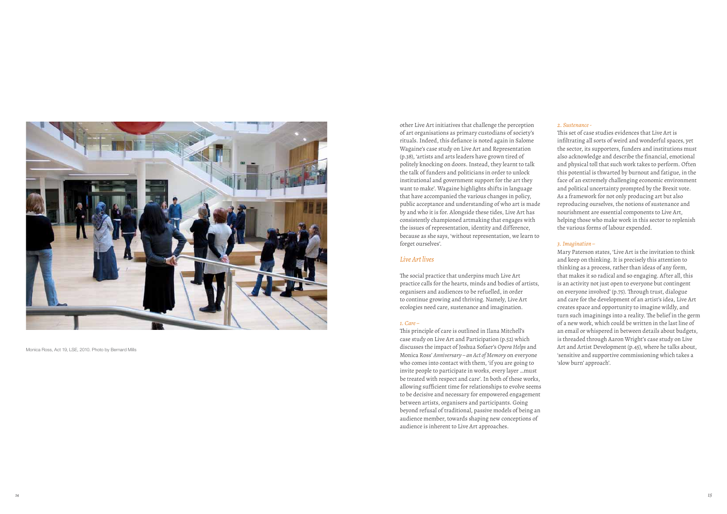other Live Art initiatives that challenge the perception of art organisations as primary custodians of society's rituals. Indeed, this defance is noted again in Salome Wagaine's case study on Live Art and Representation (p.38), 'artists and arts leaders have grown tired of politely knocking on doors. Instead, they learnt to talk the talk of funders and politicians in order to unlock institutional and government support for the art they want to make'. Wagaine highlights shifts in language that have accompanied the various changes in policy, public acceptance and understanding of who art is made by and who it is for. Alongside these tides, Live Art has consistently championed artmaking that engages with the issues of representation, identity and difference, because as she says, 'without representation, we learn to forget ourselves'.

The social practice that underpins much Live Art practice calls for the hearts, minds and bodies of artists, organisers and audiences to be refuelled, in order to continue growing and thriving. Namely, Live Art ecologies need care, sustenance and imagination.

## *Live Art lives*

This principle of care is outlined in Ilana Mitchell's case study on Live Art and Participation (p.52) which discusses the impact of Joshua Sofaer's *Opera Helps* and Monica Ross' *Anniversary – an Act of Memory* on everyone who comes into contact with them, 'if you are going to invite people to participate in works, every layer …must be treated with respect and care'. In both of these works, allowing sufficient time for relationships to evolve seems to be decisive and necessary for empowered engagement between artists, organisers and participants. Going beyond refusal of traditional, passive models of being an audience member, towards shaping new conceptions of audience is inherent to Live Art approaches.

### *1. Care –*

This set of case studies evidences that Live Art is infltrating all sorts of weird and wonderful spaces, yet the sector, its supporters, funders and institutions must also acknowledge and describe the fnancial, emotional and physical toll that such work takes to perform. Often this potential is thwarted by burnout and fatigue, in the face of an extremely challenging economic environment and political uncertainty prompted by the Brexit vote. As a framework for not only producing art but also reproducing ourselves, the notions of sustenance and nourishment are essential components to Live Art, helping those who make work in this sector to replenish the various forms of labour expended.

#### *2. Sustenance -*

## *3. Imagination –*

Mary Paterson states, 'Live Art is the invitation to think and keep on thinking. It is precisely this attention to thinking as a process, rather than ideas of any form, that makes it so radical and so engaging. After all, this is an activity not just open to everyone but contingent on everyone involved' (p.75). Through trust, dialogue and care for the development of an artist's idea, Live Art creates space and opportunity to imagine wildly, and turn such imaginings into a reality. The belief in the germ of a new work, which could be written in the last line of an email or whispered in between details about budgets, is threaded through Aaron Wright's case study on Live Art and Artist Development (p.45), where he talks about, 'sensitive and supportive commissioning which takes a 'slow burn' approach'.



Monica Ross, Act 19, LSE, 2010. Photo by Bernard Mills